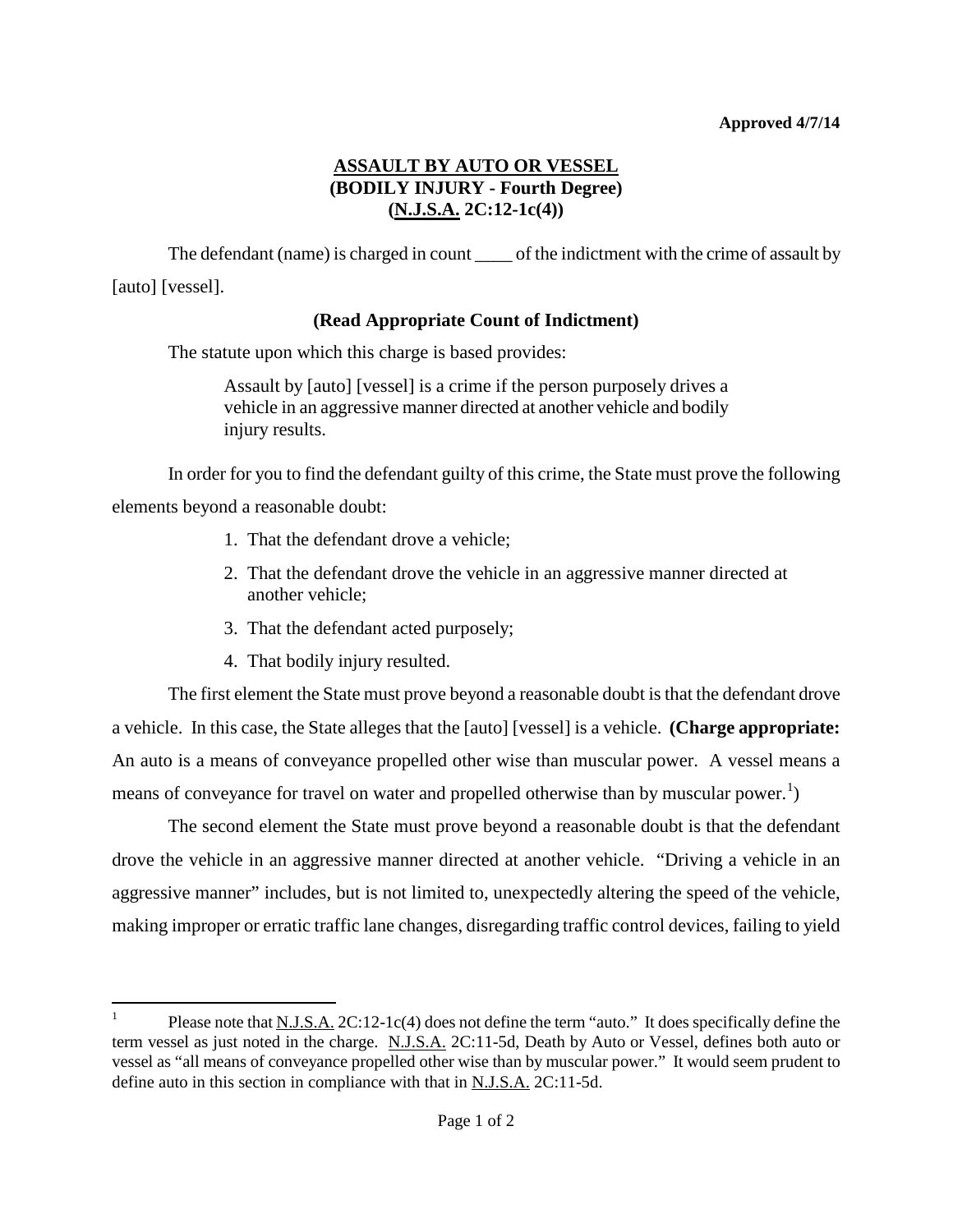## **ASSAULT BY AUTO OR VESSEL (BODILY INJURY - Fourth Degree) (N.J.S.A. 2C:12-1c(4))**

The defendant (name) is charged in count \_\_\_\_ of the indictment with the crime of assault by [auto] [vessel].

## **(Read Appropriate Count of Indictment)**

The statute upon which this charge is based provides:

Assault by [auto] [vessel] is a crime if the person purposely drives a vehicle in an aggressive manner directed at another vehicle and bodily injury results.

In order for you to find the defendant guilty of this crime, the State must prove the following elements beyond a reasonable doubt:

- 1. That the defendant drove a vehicle;
- 2. That the defendant drove the vehicle in an aggressive manner directed at another vehicle;
- 3. That the defendant acted purposely;
- 4. That bodily injury resulted.

The first element the State must prove beyond a reasonable doubt is that the defendant drove a vehicle. In this case, the State alleges that the [auto] [vessel] is a vehicle. **(Charge appropriate:** An auto is a means of conveyance propelled other wise than muscular power. A vessel means a means of conveyance for travel on water and propelled otherwise than by muscular power.<sup>[1](#page-1-0)</sup>)

The second element the State must prove beyond a reasonable doubt is that the defendant drove the vehicle in an aggressive manner directed at another vehicle. "Driving a vehicle in an aggressive manner" includes, but is not limited to, unexpectedly altering the speed of the vehicle, making improper or erratic traffic lane changes, disregarding traffic control devices, failing to yield

<span id="page-0-0"></span><sup>&</sup>lt;sup>1</sup> Please note that N.J.S.A.  $2C:12-1c(4)$  does not define the term "auto." It does specifically define the term vessel as just noted in the charge. N.J.S.A. 2C:11-5d, Death by Auto or Vessel, defines both auto or vessel as "all means of conveyance propelled other wise than by muscular power." It would seem prudent to define auto in this section in compliance with that in N.J.S.A. 2C:11-5d.